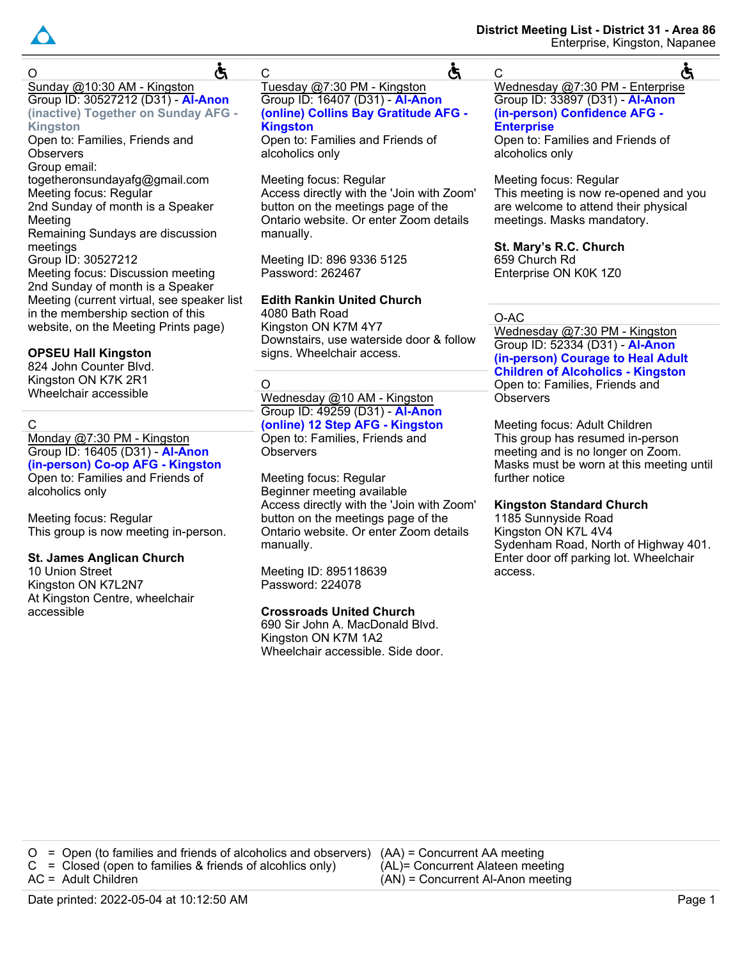

Ğ  $\Omega$ Sunday @10:30 AM - Kingston Group ID: 30527212 (D31) - **Al-Anon (inactive) Together on Sunday AFG - Kingston** Open to: Families, Friends and **Observers** Group email: togetheronsundayafg@gmail.com Meeting focus: Regular 2nd Sunday of month is a Speaker Meeting Remaining Sundays are discussion meetings Group ID: 30527212 Meeting focus: Discussion meeting

2nd Sunday of month is a Speaker Meeting (current virtual, see speaker list in the membership section of this website, on the Meeting Prints page)

# **OPSEU Hall Kingston**

824 John Counter Blvd. Kingston ON K7K 2R1 Wheelchair accessible

# C

Monday @7:30 PM - Kingston Group ID: 16405 (D31) - **Al-Anon (in-person) Co-op AFG - Kingston** Open to: Families and Friends of alcoholics only

Meeting focus: Regular This group is now meeting in-person.

# **St. James Anglican Church**

10 Union Street Kingston ON K7L2N7 At Kingston Centre, wheelchair accessible

# C Tuesday @7:30 PM - Kingston

Group ID: 16407 (D31) - **Al-Anon (online) Collins Bay Gratitude AFG - Kingston**

Ğ

Open to: Families and Friends of alcoholics only

Meeting focus: Regular Access directly with the 'Join with Zoom' button on the meetings page of the Ontario website. Or enter Zoom details manually.

Meeting ID: 896 9336 5125 Password: 262467

# **Edith Rankin United Church**

4080 Bath Road Kingston ON K7M 4Y7 Downstairs, use waterside door & follow signs. Wheelchair access.

O

Wednesday @10 AM - Kingston Group ID: 49259 (D31) - **Al-Anon (online) 12 Step AFG - Kingston** Open to: Families, Friends and **Observers** 

Meeting focus: Regular Beginner meeting available Access directly with the 'Join with Zoom' button on the meetings page of the Ontario website. Or enter Zoom details manually.

Meeting ID: 895118639 Password: 224078

# **Crossroads United Church**

690 Sir John A. MacDonald Blvd. Kingston ON K7M 1A2 Wheelchair accessible. Side door.

#### C ৫ Wednesday @7:30 PM - Enterprise Group ID: 33897 (D31) - **Al-Anon (in-person) Confidence AFG - Enterprise**

Open to: Families and Friends of alcoholics only

Meeting focus: Regular This meeting is now re-opened and you are welcome to attend their physical meetings. Masks mandatory.

**St. Mary's R.C. Church** 659 Church Rd Enterprise ON K0K 1Z0

# O-AC

Wednesday @7:30 PM - Kingston Group ID: 52334 (D31) - **Al-Anon (in-person) Courage to Heal Adult Children of Alcoholics - Kingston**

Open to: Families, Friends and **Observers** 

Meeting focus: Adult Children This group has resumed in-person meeting and is no longer on Zoom. Masks must be worn at this meeting until further notice

### **Kingston Standard Church**

1185 Sunnyside Road Kingston ON K7L 4V4 Sydenham Road, North of Highway 401. Enter door off parking lot. Wheelchair access.